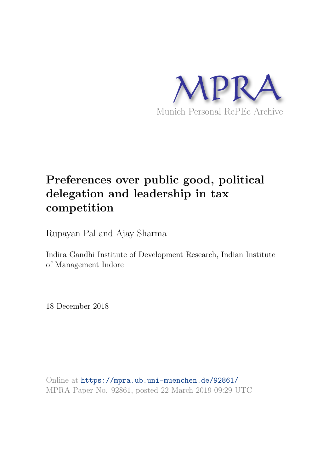

# Preferences over public good, political delegation and leadership in tax competition

Rupayan Pal and Ajay Sharma

Indira Gandhi Institute of Development Research, Indian Institute of Management Indore

18 December 2018

Online at <https://mpra.ub.uni-muenchen.de/92861/> MPRA Paper No. 92861, posted 22 March 2019 09:29 UTC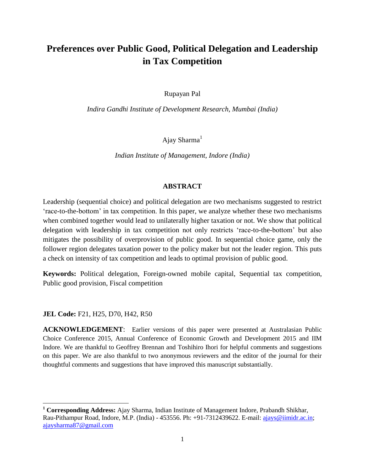# **Preferences over Public Good, Political Delegation and Leadership in Tax Competition**

Rupayan Pal

*Indira Gandhi Institute of Development Research, Mumbai (India)*

Ajay Sharma $<sup>1</sup>$ </sup>

*Indian Institute of Management, Indore (India)*

# **ABSTRACT**

Leadership (sequential choice) and political delegation are two mechanisms suggested to restrict "race-to-the-bottom" in tax competition. In this paper, we analyze whether these two mechanisms when combined together would lead to unilaterally higher taxation or not. We show that political delegation with leadership in tax competition not only restricts "race-to-the-bottom" but also mitigates the possibility of overprovision of public good. In sequential choice game, only the follower region delegates taxation power to the policy maker but not the leader region. This puts a check on intensity of tax competition and leads to optimal provision of public good.

**Keywords:** Political delegation, Foreign-owned mobile capital, Sequential tax competition, Public good provision, Fiscal competition

# **JEL Code:** F21, H25, D70, H42, R50

l

**ACKNOWLEDGEMENT**: Earlier versions of this paper were presented at Australasian Public Choice Conference 2015, Annual Conference of Economic Growth and Development 2015 and IIM Indore. We are thankful to Geoffrey Brennan and Toshihiro Ihori for helpful comments and suggestions on this paper. We are also thankful to two anonymous reviewers and the editor of the journal for their thoughtful comments and suggestions that have improved this manuscript substantially.

**<sup>1</sup> Corresponding Address:** Ajay Sharma, Indian Institute of Management Indore, Prabandh Shikhar, Rau-Pithampur Road, Indore, M.P. (India) - 453556. Ph: +91-7312439622. E-mail: [ajays@iimidr.ac.in;](mailto:ajays@iimidr.ac.in) [ajaysharma87@gmail.com](mailto:ajaysharma87@gmail.com)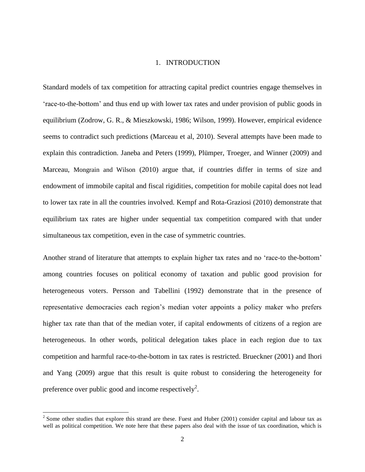# 1. INTRODUCTION

Standard models of tax competition for attracting capital predict countries engage themselves in "race-to-the-bottom" and thus end up with lower tax rates and under provision of public goods in equilibrium (Zodrow, G. R., & Mieszkowski, 1986; Wilson, 1999). However, empirical evidence seems to contradict such predictions (Marceau et al, 2010). Several attempts have been made to explain this contradiction. Janeba and Peters (1999), Plümper, Troeger, and Winner (2009) and Marceau, Mongrain and Wilson (2010) argue that, if countries differ in terms of size and endowment of immobile capital and fiscal rigidities, competition for mobile capital does not lead to lower tax rate in all the countries involved. Kempf and Rota-Graziosi (2010) demonstrate that equilibrium tax rates are higher under sequential tax competition compared with that under simultaneous tax competition, even in the case of symmetric countries.

Another strand of literature that attempts to explain higher tax rates and no "race-to the-bottom" among countries focuses on political economy of taxation and public good provision for heterogeneous voters. Persson and Tabellini (1992) demonstrate that in the presence of representative democracies each region"s median voter appoints a policy maker who prefers higher tax rate than that of the median voter, if capital endowments of citizens of a region are heterogeneous. In other words, political delegation takes place in each region due to tax competition and harmful race-to-the-bottom in tax rates is restricted. Brueckner (2001) and Ihori and Yang (2009) argue that this result is quite robust to considering the heterogeneity for preference over public good and income respectively<sup>2</sup>.

 $2^{2}$  Some other studies that explore this strand are these. Fuest and Huber (2001) consider capital and labour tax as well as political competition. We note here that these papers also deal with the issue of tax coordination, which is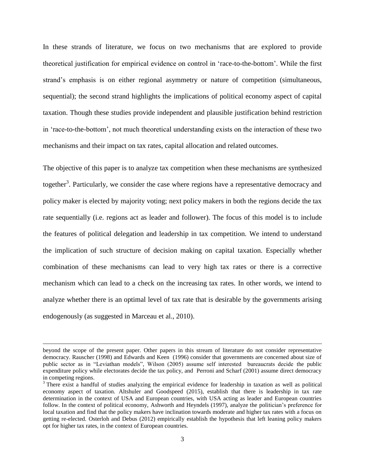In these strands of literature, we focus on two mechanisms that are explored to provide theoretical justification for empirical evidence on control in "race-to-the-bottom". While the first strand"s emphasis is on either regional asymmetry or nature of competition (simultaneous, sequential); the second strand highlights the implications of political economy aspect of capital taxation. Though these studies provide independent and plausible justification behind restriction in "race-to-the-bottom", not much theoretical understanding exists on the interaction of these two mechanisms and their impact on tax rates, capital allocation and related outcomes.

The objective of this paper is to analyze tax competition when these mechanisms are synthesized together<sup>3</sup>. Particularly, we consider the case where regions have a representative democracy and policy maker is elected by majority voting; next policy makers in both the regions decide the tax rate sequentially (i.e. regions act as leader and follower). The focus of this model is to include the features of political delegation and leadership in tax competition. We intend to understand the implication of such structure of decision making on capital taxation. Especially whether combination of these mechanisms can lead to very high tax rates or there is a corrective mechanism which can lead to a check on the increasing tax rates. In other words, we intend to analyze whether there is an optimal level of tax rate that is desirable by the governments arising endogenously (as suggested in Marceau et al., 2010).

beyond the scope of the present paper. Other papers in this stream of literature do not consider representative democracy. Rauscher (1998) and Edwards and Keen (1996) consider that governments are concerned about size of public sector as in "Leviathan models", Wilson (2005) assume self interested bureaucrats decide the public expenditure policy while electorates decide the tax policy, and Perroni and Scharf (2001) assume direct democracy in competing regions.

<sup>&</sup>lt;sup>3</sup> There exist a handful of studies analyzing the empirical evidence for leadership in taxation as well as political economy aspect of taxation. Altshuler and Goodspeed (2015), establish that there is leadership in tax rate determination in the context of USA and European countries, with USA acting as leader and European countries follow. In the context of political economy, Ashworth and Heyndels (1997), analyze the politician"s preference for local taxation and find that the policy makers have inclination towards moderate and higher tax rates with a focus on getting re-elected. Osterloh and Debus (2012) empirically establish the hypothesis that left leaning policy makers opt for higher tax rates, in the context of European countries.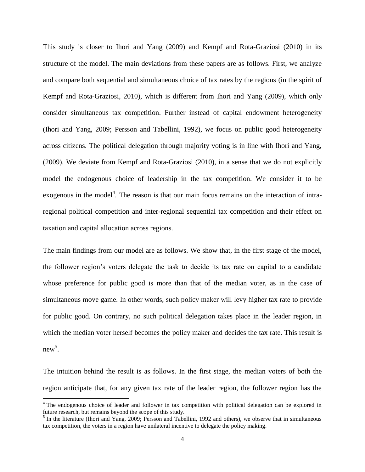This study is closer to Ihori and Yang (2009) and Kempf and Rota-Graziosi (2010) in its structure of the model. The main deviations from these papers are as follows. First, we analyze and compare both sequential and simultaneous choice of tax rates by the regions (in the spirit of Kempf and Rota-Graziosi, 2010), which is different from Ihori and Yang (2009), which only consider simultaneous tax competition. Further instead of capital endowment heterogeneity (Ihori and Yang, 2009; Persson and Tabellini, 1992), we focus on public good heterogeneity across citizens. The political delegation through majority voting is in line with Ihori and Yang, (2009). We deviate from Kempf and Rota-Graziosi (2010), in a sense that we do not explicitly model the endogenous choice of leadership in the tax competition. We consider it to be exogenous in the model<sup>4</sup>. The reason is that our main focus remains on the interaction of intraregional political competition and inter-regional sequential tax competition and their effect on taxation and capital allocation across regions.

The main findings from our model are as follows. We show that, in the first stage of the model, the follower region"s voters delegate the task to decide its tax rate on capital to a candidate whose preference for public good is more than that of the median voter, as in the case of simultaneous move game. In other words, such policy maker will levy higher tax rate to provide for public good. On contrary, no such political delegation takes place in the leader region, in which the median voter herself becomes the policy maker and decides the tax rate. This result is new 5 .

The intuition behind the result is as follows. In the first stage, the median voters of both the region anticipate that, for any given tax rate of the leader region, the follower region has the

 $\overline{a}$ 

<sup>&</sup>lt;sup>4</sup> The endogenous choice of leader and follower in tax competition with political delegation can be explored in future research, but remains beyond the scope of this study.

<sup>&</sup>lt;sup>5</sup> In the literature (Ihori and Yang, 2009; Persson and Tabellini, 1992 and others), we observe that in simultaneous tax competition, the voters in a region have unilateral incentive to delegate the policy making.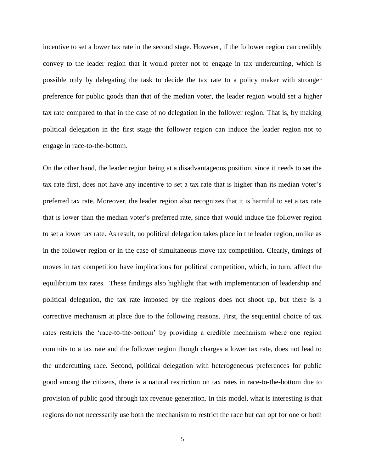incentive to set a lower tax rate in the second stage. However, if the follower region can credibly convey to the leader region that it would prefer not to engage in tax undercutting, which is possible only by delegating the task to decide the tax rate to a policy maker with stronger preference for public goods than that of the median voter, the leader region would set a higher tax rate compared to that in the case of no delegation in the follower region. That is, by making political delegation in the first stage the follower region can induce the leader region not to engage in race-to-the-bottom.

On the other hand, the leader region being at a disadvantageous position, since it needs to set the tax rate first, does not have any incentive to set a tax rate that is higher than its median voter"s preferred tax rate. Moreover, the leader region also recognizes that it is harmful to set a tax rate that is lower than the median voter"s preferred rate, since that would induce the follower region to set a lower tax rate. As result, no political delegation takes place in the leader region, unlike as in the follower region or in the case of simultaneous move tax competition. Clearly, timings of moves in tax competition have implications for political competition, which, in turn, affect the equilibrium tax rates. These findings also highlight that with implementation of leadership and political delegation, the tax rate imposed by the regions does not shoot up, but there is a corrective mechanism at place due to the following reasons. First, the sequential choice of tax rates restricts the "race-to-the-bottom" by providing a credible mechanism where one region commits to a tax rate and the follower region though charges a lower tax rate, does not lead to the undercutting race. Second, political delegation with heterogeneous preferences for public good among the citizens, there is a natural restriction on tax rates in race-to-the-bottom due to provision of public good through tax revenue generation. In this model, what is interesting is that regions do not necessarily use both the mechanism to restrict the race but can opt for one or both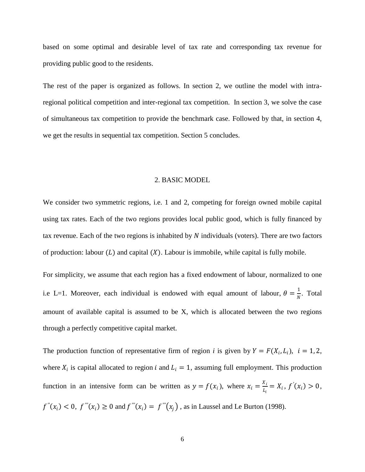based on some optimal and desirable level of tax rate and corresponding tax revenue for providing public good to the residents.

The rest of the paper is organized as follows. In section 2, we outline the model with intraregional political competition and inter-regional tax competition. In section 3, we solve the case of simultaneous tax competition to provide the benchmark case. Followed by that, in section 4, we get the results in sequential tax competition. Section 5 concludes.

# 2. BASIC MODEL

We consider two symmetric regions, i.e. 1 and 2, competing for foreign owned mobile capital using tax rates. Each of the two regions provides local public good, which is fully financed by tax revenue. Each of the two regions is inhabited by  $N$  individuals (voters). There are two factors of production: labour  $(L)$  and capital  $(X)$ . Labour is immobile, while capital is fully mobile.

For simplicity, we assume that each region has a fixed endowment of labour, normalized to one i.e L=1. Moreover, each individual is endowed with equal amount of labour,  $\theta = \frac{1}{N}$  $\frac{1}{N}$ . Total amount of available capital is assumed to be X, which is allocated between the two regions through a perfectly competitive capital market.

The production function of representative firm of region *i* is given by  $Y = F(X_i, L_i)$ ,  $i = 1, 2$ , where  $X_i$  is capital allocated to region *i* and  $L_i = 1$ , assuming full employment. This production function in an intensive form can be written as  $y = f(x_i)$ , where  $x_i = \frac{x_i}{l_i}$  $\frac{x_i}{L_i} = X_i, f'(x_i) > 0,$  $f''(x_i) < 0$ ,  $f'''(x_i) \ge 0$  and  $f'''(x_i) = f'''(x_j)$ , as in Laussel and Le Burton (1998).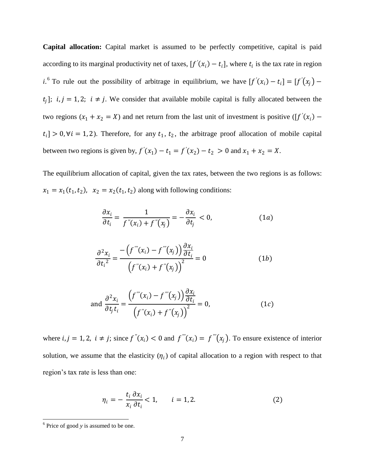**Capital allocation:** Capital market is assumed to be perfectly competitive, capital is paid according to its marginal productivity net of taxes,  $[f'(x_i) - t_i]$ , where  $t_i$  is the tax rate in region *i*.<sup>6</sup> To rule out the possibility of arbitrage in equilibrium, we have  $[f'(x_i) - t_i] = [f'(x_j) - t_i]$  $t_j$ ];  $i, j = 1, 2; i \neq j$ . We consider that available mobile capital is fully allocated between the two regions  $(x_1 + x_2 = X)$  and net return from the last unit of investment is positive ( $[f'(x_i)$  $t_i$ ] > 0,  $\forall i = 1, 2$ ). Therefore, for any  $t_1, t_2$ , the arbitrage proof allocation of mobile capital between two regions is given by,  $f'(x_1) - t_1 = f'(x_2) - t_2 > 0$  and  $x_1 + x_2 = X$ .

The equilibrium allocation of capital, given the tax rates, between the two regions is as follows:  $x_1 = x_1(t_1, t_2)$ ,  $x_2 = x_2(t_1, t_2)$  along with following conditions:

$$
\frac{\partial x_i}{\partial t_i} = \frac{1}{f''(x_i) + f''(x_j)} = -\frac{\partial x_i}{\partial t_j} < 0,\tag{1a}
$$

$$
\frac{\partial^2 x_i}{\partial t_i^2} = \frac{-\left(f'''(x_i) - f'''(x_j)\right) \frac{\partial x_i}{\partial t_i}}{\left(f''(x_i) + f''(x_j)\right)^2} = 0
$$
\n(1b)

and 
$$
\frac{\partial^2 x_i}{\partial t_j t_i} = \frac{\left(f'''(x_i) - f'''(x_j)\right) \frac{\partial x_i}{\partial t_i}}{\left(f''(x_i) + f''(x_j)\right)^2} = 0,
$$
 (1*c*)

where *i*,  $j = 1, 2$ ,  $i \neq j$ ; since  $f''(x_i) < 0$  and  $f'''(x_i) = f'''(x_j)$ . To ensure existence of interior solution, we assume that the elasticity  $(\eta_i)$  of capital allocation to a region with respect to that region"s tax rate is less than one:

$$
\eta_i = -\frac{t_i}{x_i} \frac{\partial x_i}{\partial t_i} < 1, \qquad i = 1, 2. \tag{2}
$$

<sup>&</sup>lt;sup>6</sup> Price of good *y* is assumed to be one.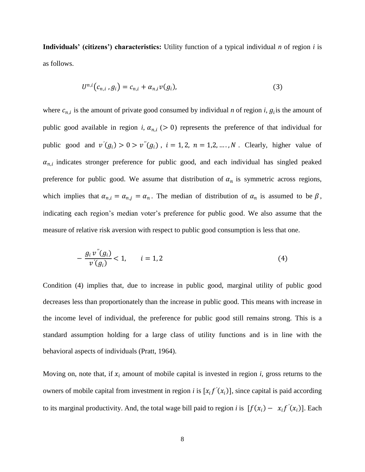**Individuals' (citizens') characteristics:** Utility function of a typical individual *n* of region *i* is as follows.

$$
U^{n,i}(c_{n,i}, g_i) = c_{n,i} + \alpha_{n,i} v(g_i),
$$
\n(3)

where  $c_{n,i}$  is the amount of private good consumed by individual *n* of region *i*,  $g_i$  is the amount of public good available in region *i*,  $\alpha_{n,i}$  ( $> 0$ ) represents the preference of that individual for public good and  $v'(g_i) > 0 > v''(g_i)$ ,  $i = 1, 2, n = 1, 2, ..., N$ . Clearly, higher value of  $\alpha_{n,i}$  indicates stronger preference for public good, and each individual has singled peaked preference for public good. We assume that distribution of  $\alpha_n$  is symmetric across regions, which implies that  $\alpha_{n,i} = \alpha_{n,j} = \alpha_n$ . The median of distribution of  $\alpha_n$  is assumed to be  $\beta$ , indicating each region's median voter's preference for public good. We also assume that the measure of relative risk aversion with respect to public good consumption is less that one.

$$
-\frac{g_i v''(g_i)}{v'(g_i)} < 1, \qquad i = 1, 2 \tag{4}
$$

Condition (4) implies that, due to increase in public good, marginal utility of public good decreases less than proportionately than the increase in public good. This means with increase in the income level of individual, the preference for public good still remains strong. This is a standard assumption holding for a large class of utility functions and is in line with the behavioral aspects of individuals (Pratt, 1964).

Moving on, note that, if  $x_i$  amount of mobile capital is invested in region  $i$ , gross returns to the owners of mobile capital from investment in region *i* is  $[x_i f'(x_i)]$ , since capital is paid according to its marginal productivity. And, the total wage bill paid to region *i* is  $[f(x_i) - x_i f'(x_i)]$ . Each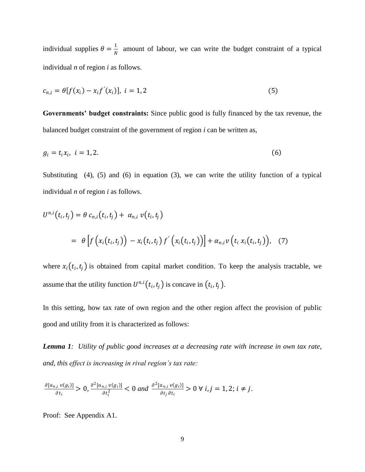individual supplies  $\theta = \frac{1}{N}$  $\frac{1}{N}$  amount of labour, we can write the budget constraint of a typical individual *n* of region *i* as follows.

$$
c_{n,i} = \theta[f(x_i) - x_i f'(x_i)], \ i = 1, 2
$$
\n(5)

**Governments' budget constraints:** Since public good is fully financed by the tax revenue, the balanced budget constraint of the government of region *i* can be written as,

$$
g_i = t_i x_i, \quad i = 1, 2. \tag{6}
$$

Substituting (4), (5) and (6) in equation (3), we can write the utility function of a typical individual *n* of region *i* as follows.

$$
U^{n,i}(t_i, t_j) = \theta c_{n,i}(t_i, t_j) + \alpha_{n,i} v(t_i, t_j)
$$
  
= 
$$
\theta \left[ f\left(x_i(t_i, t_j)\right) - x_i(t_i, t_j) f'\left(x_i(t_i, t_j)\right) \right] + \alpha_{n,i} v\left(t_i x_i(t_i, t_j)\right), \quad (7)
$$

where  $x_i(t_i, t_j)$  is obtained from capital market condition. To keep the analysis tractable, we assume that the utility function  $U^{n,i}(t_i,t_j)$  is concave in  $(t_i,t_j)$ .

In this setting, how tax rate of own region and the other region affect the provision of public good and utility from it is characterized as follows:

*Lemma 1: Utility of public good increases at a decreasing rate with increase in own tax rate, and, this effect is increasing in rival region's tax rate:*

$$
\frac{\partial [\alpha_{n,i}v(g_i)]}{\partial t_i} > 0, \frac{\partial^2 [\alpha_{n,i}v(g_i)]}{\partial t_i^2} < 0 \text{ and } \frac{\partial^2 [\alpha_{n,i}v(g_i)]}{\partial t_j \partial t_i} > 0 \forall i, j = 1, 2; i \neq j.
$$

Proof: See Appendix A1.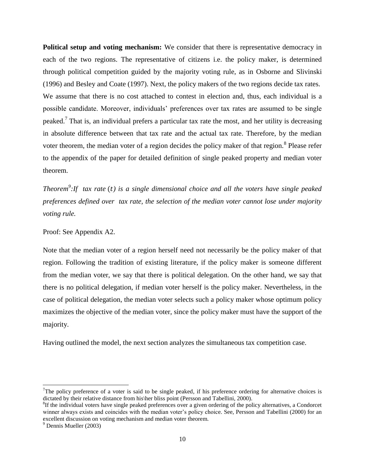**Political setup and voting mechanism:** We consider that there is representative democracy in each of the two regions. The representative of citizens i.e. the policy maker, is determined through political competition guided by the majority voting rule, as in Osborne and Slivinski (1996) and Besley and Coate (1997). Next, the policy makers of the two regions decide tax rates. We assume that there is no cost attached to contest in election and, thus, each individual is a possible candidate. Moreover, individuals" preferences over tax rates are assumed to be single peaked.<sup>7</sup> That is, an individual prefers a particular tax rate the most, and her utility is decreasing in absolute difference between that tax rate and the actual tax rate. Therefore, by the median voter theorem, the median voter of a region decides the policy maker of that region.<sup>8</sup> Please refer to the appendix of the paper for detailed definition of single peaked property and median voter theorem.

*Theorem*<sup>9</sup>: If tax rate (t) is a single dimensional choice and all the voters have single peaked *preferences defined over tax rate, the selection of the median voter cannot lose under majority voting rule.*

Proof: See Appendix A2.

Note that the median voter of a region herself need not necessarily be the policy maker of that region. Following the tradition of existing literature, if the policy maker is someone different from the median voter, we say that there is political delegation. On the other hand, we say that there is no political delegation, if median voter herself is the policy maker. Nevertheless, in the case of political delegation, the median voter selects such a policy maker whose optimum policy maximizes the objective of the median voter, since the policy maker must have the support of the majority.

Having outlined the model, the next section analyzes the simultaneous tax competition case.

<sup>&</sup>lt;sup>7</sup>The policy preference of a voter is said to be single peaked, if his preference ordering for alternative choices is dictated by their relative distance from his\her bliss point (Persson and Tabellini, 2000).

 ${}^{8}$ If the individual voters have single peaked preferences over a given ordering of the policy alternatives, a Condorcet winner always exists and coincides with the median voter's policy choice. See, Persson and Tabellini (2000) for an excellent discussion on voting mechanism and median voter theorem.

 $<sup>9</sup>$  Dennis Mueller (2003)</sup>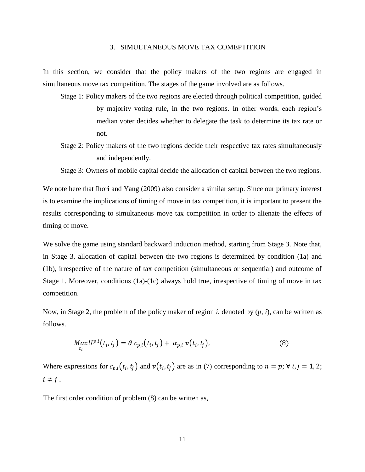# 3. SIMULTANEOUS MOVE TAX COMEPTITION

In this section, we consider that the policy makers of the two regions are engaged in simultaneous move tax competition. The stages of the game involved are as follows.

- Stage 1: Policy makers of the two regions are elected through political competition, guided by majority voting rule, in the two regions. In other words, each region"s median voter decides whether to delegate the task to determine its tax rate or not.
- Stage 2: Policy makers of the two regions decide their respective tax rates simultaneously and independently.

Stage 3: Owners of mobile capital decide the allocation of capital between the two regions.

We note here that Ihori and Yang (2009) also consider a similar setup. Since our primary interest is to examine the implications of timing of move in tax competition, it is important to present the results corresponding to simultaneous move tax competition in order to alienate the effects of timing of move.

We solve the game using standard backward induction method, starting from Stage 3. Note that, in Stage 3, allocation of capital between the two regions is determined by condition (1a) and (1b), irrespective of the nature of tax competition (simultaneous or sequential) and outcome of Stage 1. Moreover, conditions (1a)-(1c) always hold true, irrespective of timing of move in tax competition.

Now, in Stage 2, the problem of the policy maker of region *i*, denoted by (*p, i*), can be written as follows.

$$
MaxU^{p,i}(t_i,t_j) = \theta c_{p,i}(t_i,t_j) + \alpha_{p,i} v(t_i,t_j),
$$
\n(8)

Where expressions for  $c_{p,i}(t_i, t_j)$  and  $v(t_i, t_j)$  are as in (7) corresponding to  $n = p$ ;  $\forall i, j = 1, 2$ ;  $i \neq j$ .

The first order condition of problem (8) can be written as,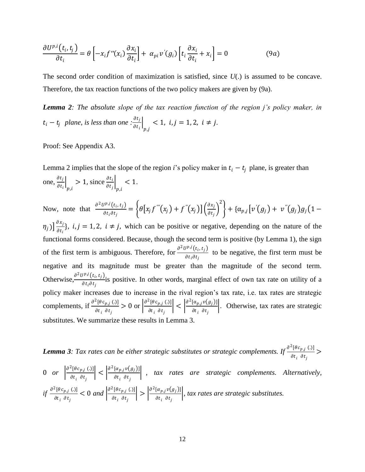$$
\frac{\partial U^{p,i}(t_i, t_j)}{\partial t_i} = \theta \left[ -x_i f''(x_i) \frac{\partial x_i}{\partial t_i} \right] + \alpha_{pi} v'(g_i) \left[ t_i \frac{\partial x_i}{\partial t_i} + x_i \right] = 0 \tag{9a}
$$

The second order condition of maximization is satisfied, since *U*(.) is assumed to be concave. Therefore, the tax reaction functions of the two policy makers are given by (9a).

*Lemma 2: The absolute slope of the tax reaction function of the region j's policy maker, in*   $t_i - t_j$  plane, is less than one : $\frac{\partial t_j}{\partial t_k}$  $\frac{\partial v_j}{\partial t_i}$  $p$ .j  $< 1, i, j = 1, 2, i \neq j.$ 

Proof: See Appendix A3.

Lemma 2 implies that the slope of the region *i*'s policy maker in  $t_i - t_j$  plane, is greater than one,  $\frac{\partial t_j}{\partial t}$  $\frac{\partial c_j}{\partial t_i}$ p,i  $> 1$ , since  $\frac{\partial t_i}{\partial t_j}$ p,i  $< 1$ .

Now, note that 
$$
\frac{\partial^2 U^{p,j}(t_i, t_j)}{\partial t_i \partial t_j} = \left\{ \theta \left[ x_j f^{'''}(x_j) + f^{''}(x_j) \right] \left( \frac{\partial x_j}{\partial t_j} \right)^2 \right\} + \left\{ \alpha_{p,j} \left[ v'(g_j) + v^{''}(g_j) g_j \left( 1 - y_j \right) \right] \right\}
$$

 $(\eta_j)\big] \frac{\partial x_j}{\partial t_j}$  $\left\{\frac{\partial x_j}{\partial t_i}\right\}$ ,  $i, j = 1, 2, i \neq j$ , which can be positive or negative, depending on the nature of the functional forms considered. Because, though the second term is positive (by Lemma 1), the sign of the first term is ambiguous. Therefore, for  $\frac{\partial^2 U^{pj}(t_i, t_j)}{\partial t_i}$ to be negative, the first term must be  $\frac{\partial t_i \partial t_j}{\partial t_i \partial t_j}$ negative and its magnitude must be greater than the magnitude of the second term. Otherwise,  $\frac{\partial^2 U^{p,j}(t_i, t_j)}{\partial t_i}$  $\frac{\partial \mathbf{F}(\mathbf{C}_i, \mathbf{C}_j)}{\partial t_i \partial t_j}$  is positive. In other words, marginal effect of own tax rate on utility of a policy maker increases due to increase in the rival region"s tax rate, i.e. tax rates are strategic complements, if  $\frac{\partial^2 [\theta c_{p,j}(.)]}{\partial \theta^2}$  $\partial t_i$   $\partial t_j$  $> 0$  or  $\frac{\partial^2 [\theta c_{p,j}](.)}{\partial t}$  $\partial t_{i}$   $\partial t_{j}$  $\vert \vert < \vert \frac{\partial^2 [\alpha_{p,j} v(g_j)]}{\partial x_j}$  $\partial t_{i}$   $\partial t_{j}$  . Otherwise, tax rates are strategic substitutes. We summarize these results in Lemma 3.

**Lemma 3**: Tax rates can be either strategic substitutes or strategic complements. If  $\frac{\partial^2 [\theta c_{p,j}(.)]}{\partial \theta}$  $\partial t_i$   $\partial t_j$ >

$$
0 \quad or \quad \left| \frac{\partial^2 [\theta c_{p,j}(.)]}{\partial t_i \partial t_j} \right| < \left| \frac{\partial^2 [\alpha_{p,j} v(g_j)]}{\partial t_i \partial t_j} \right| \,, \quad \text{tax} \quad \text{rates} \quad \text{are} \quad \text{strategies complements. Alternatively,}
$$
\n
$$
if \quad \frac{\partial^2 [\theta c_{p,j}(.)]}{\partial t_i \partial t_j} < 0 \quad \text{and} \quad \left| \frac{\partial^2 [\theta c_{p,j}(.)]}{\partial t_i \partial t_j} \right| > \left| \frac{\partial^2 [\alpha_{p,j} v(g_j)]}{\partial t_i \partial t_j} \right|, \quad \text{tax rates are strategic substitutes.}
$$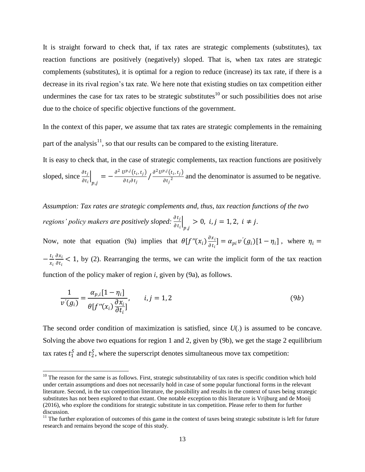It is straight forward to check that, if tax rates are strategic complements (substitutes), tax reaction functions are positively (negatively) sloped. That is, when tax rates are strategic complements (substitutes), it is optimal for a region to reduce (increase) its tax rate, if there is a decrease in its rival region's tax rate. We here note that existing studies on tax competition either undermines the case for tax rates to be strategic substitutes<sup>10</sup> or such possibilities does not arise due to the choice of specific objective functions of the government.

In the context of this paper, we assume that tax rates are strategic complements in the remaining part of the analysis $1,$  so that our results can be compared to the existing literature.

It is easy to check that, in the case of strategic complements, tax reaction functions are positively sloped, since  $\frac{\partial t_j}{\partial t_i}$ p,j  $= -\frac{\partial^2 U^{p,j}(t_i,t_j)}{\partial t_i}$  $\frac{dJ^{pj}(t_i,t_j)}{\partial t_i \partial t_j}$  /  $\frac{\partial^2 U^{pj}(t_i,t_j)}{\partial {t_j}^2}$  $\frac{\partial^2 (v_i, v_j)}{\partial t_j^2}$  and the denominator is assumed to be negative.

*Assumption: Tax rates are strategic complements and, thus, tax reaction functions of the two regions' policy makers are positively sloped:*   $p,j$  $> 0, i, j = 1, 2, i \neq j.$ 

Now, note that equation (9a) implies that  $\theta[f''(x_i)\frac{\partial x_i}{\partial x_i}]$  $\frac{\partial x_i}{\partial t_i}$  =  $\alpha_{pi} v'(g_i)[1 - \eta_i]$ , where  $\eta_i =$  $-\frac{t_i}{u}$  $x_i$  $\partial x_i$  $\frac{\partial x_i}{\partial t_i}$  < 1, by (2). Rearranging the terms, we can write the implicit form of the tax reaction function of the policy maker of region *i*, given by (9a), as follows.

$$
\frac{1}{v'(g_i)} = \frac{\alpha_{p,i}[1-\eta_i]}{\theta[f''(x_i)\frac{\partial x_i}{\partial t_i}]}, \qquad i,j = 1,2
$$
\n(9b)

The second order condition of maximization is satisfied, since *U*(.) is assumed to be concave. Solving the above two equations for region 1 and 2, given by (9b), we get the stage 2 equilibrium tax rates  $t_1^S$  and  $t_2^S$ , where the superscript denotes simultaneous move tax competition:

 $10$  The reason for the same is as follows. First, strategic substitutability of tax rates is specific condition which hold under certain assumptions and does not necessarily hold in case of some popular functional forms in the relevant literature. Second, in the tax competition literature, the possibility and results in the context of taxes being strategic substitutes has not been explored to that extant. One notable exception to this literature is Vrijburg and de Mooij (2016), who explore the conditions for strategic substitute in tax competition. Please refer to them for further discussion.

 $11$  The further exploration of outcomes of this game in the context of taxes being strategic substitute is left for future research and remains beyond the scope of this study.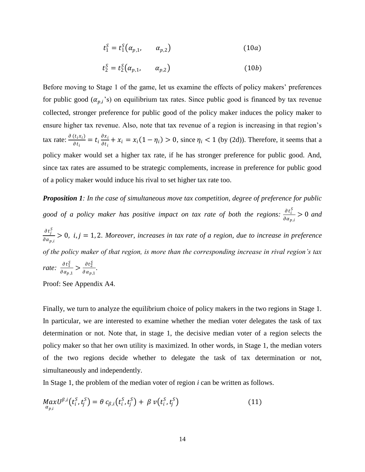$$
t_1^S = t_1^S(\alpha_{p,1}, \alpha_{p,2})
$$
 (10*a*)

$$
t_2^S = t_2^S(\alpha_{p,1}, \alpha_{p,2})
$$
 (10*b*)

Before moving to Stage 1 of the game, let us examine the effects of policy makers' preferences for public good  $(\alpha_{p,i}$ 's) on equilibrium tax rates. Since public good is financed by tax revenue collected, stronger preference for public good of the policy maker induces the policy maker to ensure higher tax revenue. Also, note that tax revenue of a region is increasing in that region's tax rate:  $\frac{\partial (t_i x_i)}{\partial x_i}$  $\frac{(t_ix_i)}{\partial t_i} = t_i \frac{\partial x_i}{\partial t_i}$  $\frac{\partial x_i}{\partial t_i} + x_i = x_i(1 - \eta_i) > 0$ , since  $\eta_i < 1$  (by (2d)). Therefore, it seems that a policy maker would set a higher tax rate, if he has stronger preference for public good. And, since tax rates are assumed to be strategic complements, increase in preference for public good of a policy maker would induce his rival to set higher tax rate too.

*Proposition 1: In the case of simultaneous move tax competition, degree of preference for public*  good of a policy maker has positive impact on tax rate of both the regions:  $\frac{\partial t_i^S}{\partial x_i}$  $\frac{\partial c_i}{\partial \alpha_{p,i}} > 0$  and  $\partial t_j^S$  $\frac{\partial c_j}{\partial a_{p,i}} > 0$ , *i, j* = 1, 2. Moreover, *increases in tax rate of a region*, *due to increase in preference of the policy maker of that region, is more than the corresponding increase in rival region's tax*  rate:  $\frac{\partial t_1^S}{\partial x_1}$  $\frac{\partial t_1^S}{\partial \alpha_{p,1}} > \frac{\partial t_2^S}{\partial \alpha_{p,1}}$  $\frac{\partial \iota_2}{\partial \alpha_{p,1}}$ .

Proof: See Appendix A4.

Finally, we turn to analyze the equilibrium choice of policy makers in the two regions in Stage 1. In particular, we are interested to examine whether the median voter delegates the task of tax determination or not. Note that, in stage 1, the decisive median voter of a region selects the policy maker so that her own utility is maximized. In other words, in Stage 1, the median voters of the two regions decide whether to delegate the task of tax determination or not, simultaneously and independently.

In Stage 1, the problem of the median voter of region *i* can be written as follows.

$$
MaxU^{\beta,i}(t_i^S,t_j^S) = \theta c_{\beta,i}(t_i^S,t_j^S) + \beta v(t_i^S,t_j^S)
$$
\n(11)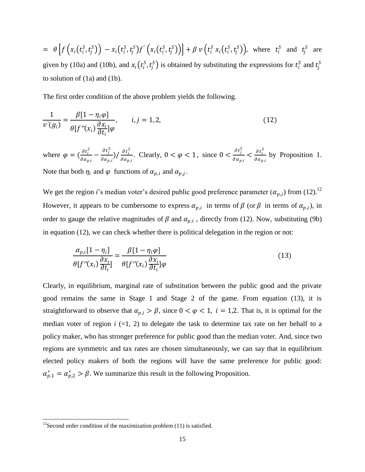$$
= \theta \left[ f \left( x_i(t_i^S, t_j^S) \right) - x_i(t_i^S, t_j^S) f' \left( x_i(t_i^S, t_j^S) \right) \right] + \beta \ v \left( t_i^S \ x_i(t_i^S, t_j^S) \right), \text{ where } t_i^S \text{ and } t_j^S \text{ are given by (10a) and (10b), and } x_i(t_i^S, t_j^S) \text{ is obtained by substituting the expressions for } t_i^S \text{ and } t_j^S \text{ to solution of (1a) and (1b).}
$$

The first order condition of the above problem yields the following.

$$
\frac{1}{v'(g_i)} = \frac{\beta[1 - \eta_i \varphi]}{\theta[f''(x_i)\frac{\partial x_i}{\partial t_i}]\varphi}, \qquad i, j = 1, 2,
$$
\n(12)

where  $\varphi = \left(\frac{\partial t_i^S}{\partial x}\right)$  $\frac{\partial t_i^S}{\partial \alpha_{p,i}} - \frac{\partial t_j^S}{\partial \alpha_p}$  $\frac{\partial t_j^S}{\partial \alpha_{p,i}}$ ) /  $\frac{\partial t_i^S}{\partial \alpha_p}$  $\frac{\partial t_i^S}{\partial \alpha_{p,i}}$ . Clearly,  $0 < \varphi < 1$ , since  $0 < \frac{\partial t_j^S}{\partial \alpha_p}$  $\frac{\partial t_j^S}{\partial \alpha_{p,i}} < \frac{\partial t_i^S}{\partial \alpha_p}$  $\frac{\partial c_i}{\partial \alpha_{p,i}}$  by Proposition 1. Note that both  $\eta_i$  and  $\varphi$  functions of  $\alpha_{p,i}$  and  $\alpha_{p,j}$ .

We get the region *i*'s median voter's desired public good preference parameter  $(\alpha_{p,i})$  from (12).<sup>12</sup> However, it appears to be cumbersome to express  $\alpha_{p,i}$  in terms of  $\beta$  (or  $\beta$  in terms of  $\alpha_{p,i}$ ), in order to gauge the relative magnitudes of  $\beta$  and  $\alpha_{p,i}$ , directly from (12). Now, substituting (9b) in equation (12), we can check whether there is political delegation in the region or not:

$$
\frac{\alpha_{p,i}[1-\eta_i]}{\theta[f''(x_i)\frac{\partial x_i}{\partial t_i}]} = \frac{\beta[1-\eta_i\varphi]}{\theta[f''(x_i)\frac{\partial x_i}{\partial t_i}]\varphi}
$$
(13)

Clearly, in equilibrium, marginal rate of substitution between the public good and the private good remains the same in Stage 1 and Stage 2 of the game. From equation (13), it is straightforward to observe that  $\alpha_{p,i} > \beta$ , since  $0 < \varphi < 1$ ,  $i = 1,2$ . That is, it is optimal for the median voter of region  $i$  (=1, 2) to delegate the task to determine tax rate on her behalf to a policy maker, who has stronger preference for public good than the median voter. And, since two regions are symmetric and tax rates are chosen simultaneously, we can say that in equilibrium elected policy makers of both the regions will have the same preference for public good:  $\alpha_{p,1}^* = \alpha_{p,2}^* > \beta$ . We summarize this result in the following Proposition.

 $\overline{\phantom{a}}$ 

<sup>&</sup>lt;sup>12</sup>Second order condition of the maximization problem (11) is satisfied.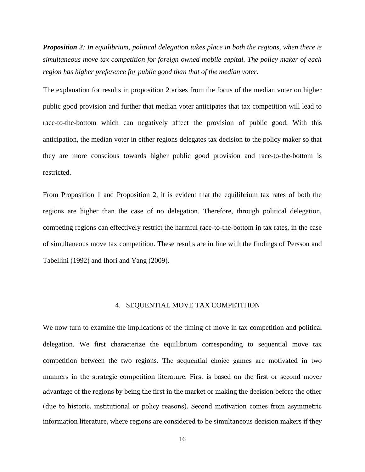*Proposition 2: In equilibrium, political delegation takes place in both the regions, when there is simultaneous move tax competition for foreign owned mobile capital. The policy maker of each region has higher preference for public good than that of the median voter.* 

The explanation for results in proposition 2 arises from the focus of the median voter on higher public good provision and further that median voter anticipates that tax competition will lead to race-to-the-bottom which can negatively affect the provision of public good. With this anticipation, the median voter in either regions delegates tax decision to the policy maker so that they are more conscious towards higher public good provision and race-to-the-bottom is restricted.

From Proposition 1 and Proposition 2, it is evident that the equilibrium tax rates of both the regions are higher than the case of no delegation. Therefore, through political delegation, competing regions can effectively restrict the harmful race-to-the-bottom in tax rates, in the case of simultaneous move tax competition. These results are in line with the findings of Persson and Tabellini (1992) and Ihori and Yang (2009).

# 4. SEQUENTIAL MOVE TAX COMPETITION

We now turn to examine the implications of the timing of move in tax competition and political delegation. We first characterize the equilibrium corresponding to sequential move tax competition between the two regions. The sequential choice games are motivated in two manners in the strategic competition literature. First is based on the first or second mover advantage of the regions by being the first in the market or making the decision before the other (due to historic, institutional or policy reasons). Second motivation comes from asymmetric information literature, where regions are considered to be simultaneous decision makers if they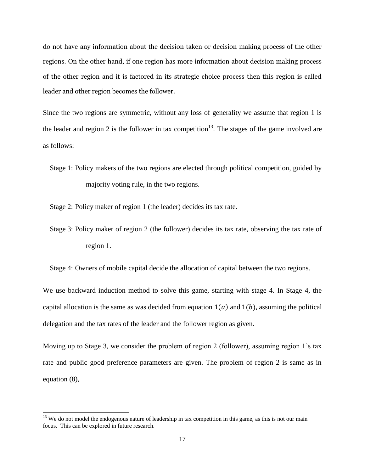do not have any information about the decision taken or decision making process of the other regions. On the other hand, if one region has more information about decision making process of the other region and it is factored in its strategic choice process then this region is called leader and other region becomes the follower.

Since the two regions are symmetric, without any loss of generality we assume that region 1 is the leader and region 2 is the follower in tax competition<sup>13</sup>. The stages of the game involved are as follows:

Stage 1: Policy makers of the two regions are elected through political competition, guided by majority voting rule, in the two regions.

Stage 2: Policy maker of region 1 (the leader) decides its tax rate.

Stage 3: Policy maker of region 2 (the follower) decides its tax rate, observing the tax rate of region 1.

Stage 4: Owners of mobile capital decide the allocation of capital between the two regions.

We use backward induction method to solve this game, starting with stage 4. In Stage 4, the capital allocation is the same as was decided from equation  $1(a)$  and  $1(b)$ , assuming the political delegation and the tax rates of the leader and the follower region as given.

Moving up to Stage 3, we consider the problem of region 2 (follower), assuming region 1"s tax rate and public good preference parameters are given. The problem of region 2 is same as in equation (8),

 $13$  We do not model the endogenous nature of leadership in tax competition in this game, as this is not our main focus. This can be explored in future research.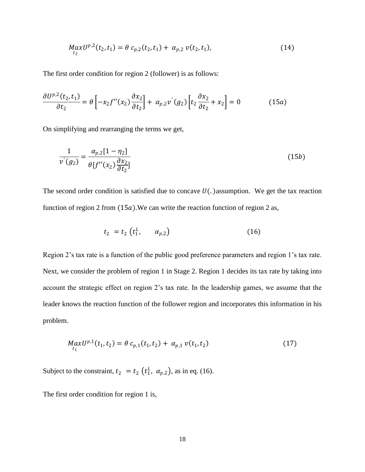$$
MaxU^{p,2}(t_2,t_1) = \theta c_{p,2}(t_2,t_1) + \alpha_{p,2} v(t_2,t_1),
$$
\n(14)

The first order condition for region 2 (follower) is as follows:

$$
\frac{\partial U^{p,2}(t_2,t_1)}{\partial t_2} = \theta \left[ -x_2 f''(x_2) \frac{\partial x_2}{\partial t_2} \right] + \alpha_{p,2} v'(g_2) \left[ t_2 \frac{\partial x_2}{\partial t_2} + x_2 \right] = 0 \tag{15a}
$$

On simplifying and rearranging the terms we get,

$$
\frac{1}{v'(g_2)} = \frac{\alpha_{p,2}[1 - \eta_2]}{\theta[f''(x_2)\frac{\partial x_2}{\partial t_2}]}
$$
(15*b*)

The second order condition is satisfied due to concave  $U(.)$  assumption. We get the tax reaction function of region 2 from  $(15a)$ . We can write the reaction function of region 2 as,

$$
t_2 = t_2 \left( t_1^L, \alpha_{p,2} \right) \tag{16}
$$

Region 2's tax rate is a function of the public good preference parameters and region 1's tax rate. Next, we consider the problem of region 1 in Stage 2. Region 1 decides its tax rate by taking into account the strategic effect on region 2"s tax rate. In the leadership games, we assume that the leader knows the reaction function of the follower region and incorporates this information in his problem.

$$
MaxU^{p,1}(t_1, t_2) = \theta c_{p,1}(t_1, t_2) + \alpha_{p,1} v(t_1, t_2)
$$
\n(17)

Subject to the constraint,  $t_2 = t_2 \left(t_1^L, \alpha_{p,2}\right)$ , as in eq. (16).

The first order condition for region 1 is,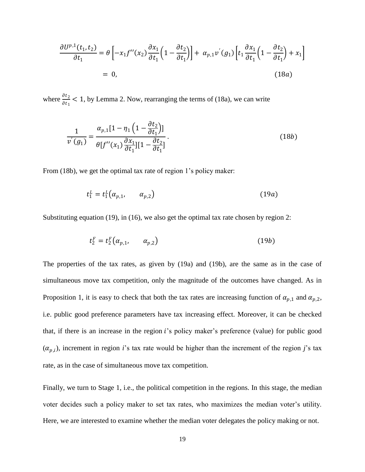$$
\frac{\partial U^{p,1}(t_1, t_2)}{\partial t_1} = \theta \left[ -x_1 f''(x_2) \frac{\partial x_1}{\partial t_1} \left( 1 - \frac{\partial t_2}{\partial t_1} \right) \right] + \alpha_{p,1} v'(g_1) \left[ t_1 \frac{\partial x_1}{\partial t_1} \left( 1 - \frac{\partial t_2}{\partial t_1} \right) + x_1 \right]
$$
  
= 0, (18a)

where  $\frac{\partial t_2}{\partial t_1}$  < 1, by Lemma 2. Now, rearranging the terms of (18a), we can write

$$
\frac{1}{v'(g_1)} = \frac{\alpha_{p,1}[1 - \eta_1\left(1 - \frac{\partial t_2}{\partial t_1}\right)]}{\theta[f''(x_1)\frac{\partial x_1}{\partial t_1}][1 - \frac{\partial t_2}{\partial t_1}]}.
$$
(18*b*)

From (18b), we get the optimal tax rate of region 1's policy maker:

$$
t_1^L = t_1^L(\alpha_{p,1}, \alpha_{p,2}) \tag{19a}
$$

Substituting equation (19), in (16), we also get the optimal tax rate chosen by region 2:

$$
t_2^F = t_2^F(\alpha_{p,1}, \alpha_{p,2})
$$
 (19*b*)

The properties of the tax rates, as given by (19a) and (19b), are the same as in the case of simultaneous move tax competition, only the magnitude of the outcomes have changed. As in Proposition 1, it is easy to check that both the tax rates are increasing function of  $\alpha_{p,1}$  and  $\alpha_{p,2}$ , i.e. public good preference parameters have tax increasing effect. Moreover, it can be checked that, if there is an increase in the region  $i$ 's policy maker's preference (value) for public good  $(\alpha_{p,i})$ , increment in region *i*'s tax rate would be higher than the increment of the region *j*'s tax rate, as in the case of simultaneous move tax competition.

Finally, we turn to Stage 1, i.e., the political competition in the regions. In this stage, the median voter decides such a policy maker to set tax rates, who maximizes the median voter"s utility. Here, we are interested to examine whether the median voter delegates the policy making or not.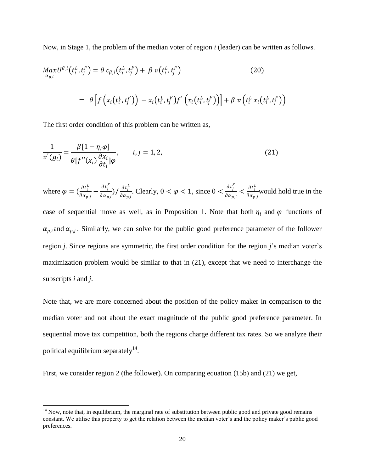Now, in Stage 1, the problem of the median voter of region *i* (leader) can be written as follows.

$$
MaxU^{\beta,i}(t_i^L, t_j^F) = \theta c_{\beta,i}(t_i^L, t_j^F) + \beta v(t_i^L, t_j^F)
$$
\n
$$
= \theta \left[ f\left(x_i(t_i^L, t_j^F)\right) - x_i(t_i^L, t_j^F)f'\left(x_i(t_i^L, t_j^F)\right) \right] + \beta v\left(t_i^L x_i(t_i^L, t_j^F)\right)
$$
\n(20)

The first order condition of this problem can be written as,

$$
\frac{1}{v^{'}(g_i)} = \frac{\beta[1 - \eta_i \varphi]}{\theta[f''(x_i)\frac{\partial x_i}{\partial t_i}]\varphi}, \qquad i, j = 1, 2,
$$
\n(21)

where  $\varphi = \left(\frac{\partial t_i^L}{\partial x}\right)$  $\frac{\partial t_i^L}{\partial \alpha_{p,i}} - \frac{\partial t_j^F}{\partial \alpha_{p,i}}$  $\frac{\partial t_j^F}{\partial \alpha_{p,i}}$ ) /  $\frac{\partial t_i^L}{\partial \alpha_{p,i}}$  $\frac{\partial t_i^L}{\partial \alpha_{p,i}}$ . Clearly,  $0 < \varphi < 1$ , since  $0 < \frac{\partial t_j^F}{\partial \alpha_{p,i}}$  $\frac{\partial t_j^F}{\partial \alpha_{p,i}} < \frac{\partial t_i^L}{\partial \alpha_{p,i}}$  $\frac{\partial t_i}{\partial \alpha_{p,i}}$  would hold true in the

case of sequential move as well, as in Proposition 1. Note that both  $\eta_i$  and  $\varphi$  functions of  $\alpha_{p,i}$  and  $\alpha_{p,j}$ . Similarly, we can solve for the public good preference parameter of the follower region *j*. Since regions are symmetric, the first order condition for the region *j*"s median voter"s maximization problem would be similar to that in (21), except that we need to interchange the subscripts *i* and *j*.

Note that, we are more concerned about the position of the policy maker in comparison to the median voter and not about the exact magnitude of the public good preference parameter. In sequential move tax competition, both the regions charge different tax rates. So we analyze their political equilibrium separately $^{14}$ .

First, we consider region 2 (the follower). On comparing equation (15b) and (21) we get,

 $14$  Now, note that, in equilibrium, the marginal rate of substitution between public good and private good remains constant. We utilise this property to get the relation between the median voter's and the policy maker's public good preferences.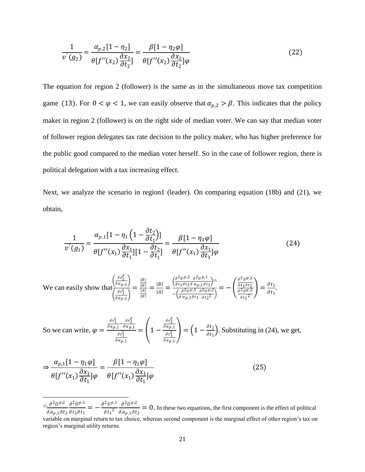$$
\frac{1}{v^{'}(g_2)} = \frac{\alpha_{p,2}[1-\eta_2]}{\theta[f''(x_2)\frac{\partial x_2}{\partial t_2}]} = \frac{\beta[1-\eta_2\varphi]}{\theta[f''(x_2)\frac{\partial x_2}{\partial t_2}]\varphi}
$$
(22)

The equation for region 2 (follower) is the same as in the simultaneous move tax competition game (13). For  $0 < \varphi < 1$ , we can easily observe that  $\alpha_{p,2} > \beta$ . This indicates that the policy maker in region 2 (follower) is on the right side of median voter. We can say that median voter of follower region delegates tax rate decision to the policy maker, who has higher preference for the public good compared to the median voter herself. So in the case of follower region, there is political delegation with a tax increasing effect.

Next, we analyze the scenario in region1 (leader). On comparing equation (18b) and (21), we obtain,

$$
\frac{1}{v^{'}(g_1)} = \frac{\alpha_{p,1}[1 - \eta_1\left(1 - \frac{\partial t_2}{\partial t_1}\right)]}{\theta[f''(x_1)\frac{\partial x_1}{\partial t_1}][1 - \frac{\partial t_2}{\partial t_1}]} = \frac{\beta[1 - \eta_1\varphi]}{\theta[f''(x_1)\frac{\partial x_1}{\partial t_1}]\varphi}
$$
(24)

We can easily show that 
$$
\frac{\left(\frac{\partial t_2^F}{\partial \alpha_{p,1}}\right)}{\left(\frac{\partial t_1^F}{\partial \alpha_{p,1}}\right)} = \frac{\frac{|B|}{|H|}}{\frac{|A|}{|H|}} = \frac{|B|}{|A|} = \frac{\left(\frac{\partial^2 U^{p,2}}{\partial t_1 \partial t_2 \partial \alpha_{p,1} \partial t_1}\right)^{15}}{-\left(\frac{\partial^2 U^{p,2}}{\partial \alpha_{p,1} \partial t_1 \partial t_2 \partial \alpha_{p,1}^2}\right)^{15}} = -\left(\frac{\frac{\partial^2 U^{p,2}}{\partial t_1 \partial t_2 \partial \alpha_{p,1} \partial t_1}}{\frac{\partial^2 U^{p,2}}{\partial t_2^2}}\right) = \frac{\partial t_2}{\partial t_1}.
$$

So we can write, 
$$
\varphi = \frac{\frac{\partial t_1^L}{\partial \alpha_{p,1}} - \frac{\partial t_2^L}{\partial \alpha_{p,1}}}{\frac{\partial t_1^L}{\partial \alpha_{p,1}}} = \left(1 - \frac{\frac{\partial t_2^L}{\partial \alpha_{p,1}}}{\frac{\partial t_1^L}{\partial \alpha_{p,1}}}\right) = \left(1 - \frac{\partial t_2}{\partial t_1}\right)
$$
. Substituting in (24), we get,

$$
\Rightarrow \frac{\alpha_{p,1}[1-\eta_1\varphi]}{\theta[f''(x_1)\frac{\partial x_1}{\partial t_1}]\varphi} = \frac{\beta[1-\eta_1\varphi]}{\theta[f''(x_1)\frac{\partial x_1}{\partial t_1}]\varphi}
$$
(25)

 $\overline{a}$  $_{15}$   $\partial^{2}U^{p,2}$   $\partial^{2}U^{p,1}$  $\frac{\partial}{\partial \alpha_{p,1} \partial t_2} \frac{\partial}{\partial t_2 \partial t_1} = \partial^2 U^{p,1}$  $\partial t_1{}^2$  $\partial^2 U^{p,2}$  $\frac{\partial}{\partial \alpha_{p,1} \partial t_2}$  = 0. In these two equations, the first component is the effect of political

variable on marginal return to tax choice, whereas second component is the marginal effect of other region"s tax on region"s marginal utility returns.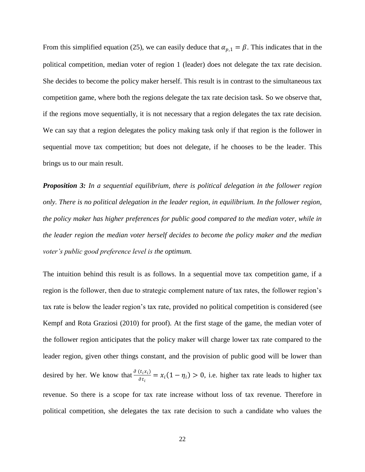From this simplified equation (25), we can easily deduce that  $\alpha_{p,1} = \beta$ . This indicates that in the political competition, median voter of region 1 (leader) does not delegate the tax rate decision. She decides to become the policy maker herself. This result is in contrast to the simultaneous tax competition game, where both the regions delegate the tax rate decision task. So we observe that, if the regions move sequentially, it is not necessary that a region delegates the tax rate decision. We can say that a region delegates the policy making task only if that region is the follower in sequential move tax competition; but does not delegate, if he chooses to be the leader. This brings us to our main result.

*Proposition 3: In a sequential equilibrium, there is political delegation in the follower region only. There is no political delegation in the leader region, in equilibrium. In the follower region, the policy maker has higher preferences for public good compared to the median voter, while in the leader region the median voter herself decides to become the policy maker and the median voter's public good preference level is the optimum.*

The intuition behind this result is as follows. In a sequential move tax competition game, if a region is the follower, then due to strategic complement nature of tax rates, the follower region"s tax rate is below the leader region"s tax rate, provided no political competition is considered (see Kempf and Rota Graziosi (2010) for proof). At the first stage of the game, the median voter of the follower region anticipates that the policy maker will charge lower tax rate compared to the leader region, given other things constant, and the provision of public good will be lower than desired by her. We know that  $\frac{\partial (t_i x_i)}{\partial x_i}$  $\frac{\partial u_i}{\partial t_i} = x_i (1 - \eta_i) > 0$ , i.e. higher tax rate leads to higher tax revenue. So there is a scope for tax rate increase without loss of tax revenue. Therefore in political competition, she delegates the tax rate decision to such a candidate who values the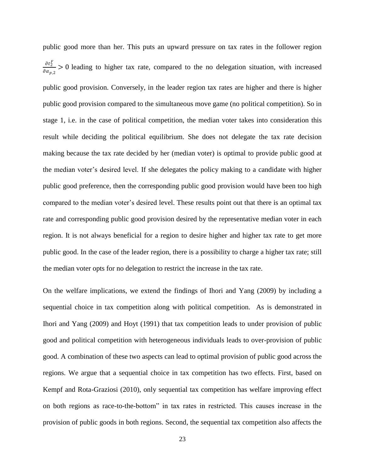public good more than her. This puts an upward pressure on tax rates in the follower region  $\partial t_2^F$  $\frac{\partial t_2}{\partial \alpha_{p,2}}$  > 0 leading to higher tax rate, compared to the no delegation situation, with increased public good provision. Conversely, in the leader region tax rates are higher and there is higher public good provision compared to the simultaneous move game (no political competition). So in stage 1, i.e. in the case of political competition, the median voter takes into consideration this result while deciding the political equilibrium. She does not delegate the tax rate decision making because the tax rate decided by her (median voter) is optimal to provide public good at the median voter"s desired level. If she delegates the policy making to a candidate with higher public good preference, then the corresponding public good provision would have been too high compared to the median voter"s desired level. These results point out that there is an optimal tax rate and corresponding public good provision desired by the representative median voter in each region. It is not always beneficial for a region to desire higher and higher tax rate to get more public good. In the case of the leader region, there is a possibility to charge a higher tax rate; still the median voter opts for no delegation to restrict the increase in the tax rate.

On the welfare implications, we extend the findings of Ihori and Yang (2009) by including a sequential choice in tax competition along with political competition. As is demonstrated in Ihori and Yang (2009) and Hoyt (1991) that tax competition leads to under provision of public good and political competition with heterogeneous individuals leads to over-provision of public good. A combination of these two aspects can lead to optimal provision of public good across the regions. We argue that a sequential choice in tax competition has two effects. First, based on Kempf and Rota-Graziosi (2010), only sequential tax competition has welfare improving effect on both regions as race-to-the-bottom" in tax rates in restricted. This causes increase in the provision of public goods in both regions. Second, the sequential tax competition also affects the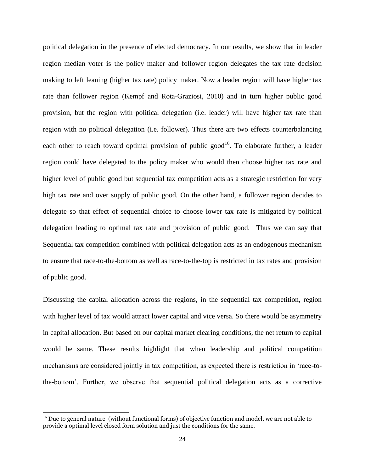political delegation in the presence of elected democracy. In our results, we show that in leader region median voter is the policy maker and follower region delegates the tax rate decision making to left leaning (higher tax rate) policy maker. Now a leader region will have higher tax rate than follower region (Kempf and Rota-Graziosi, 2010) and in turn higher public good provision, but the region with political delegation (i.e. leader) will have higher tax rate than region with no political delegation (i.e. follower). Thus there are two effects counterbalancing each other to reach toward optimal provision of public good<sup>16</sup>. To elaborate further, a leader region could have delegated to the policy maker who would then choose higher tax rate and higher level of public good but sequential tax competition acts as a strategic restriction for very high tax rate and over supply of public good. On the other hand, a follower region decides to delegate so that effect of sequential choice to choose lower tax rate is mitigated by political delegation leading to optimal tax rate and provision of public good. Thus we can say that Sequential tax competition combined with political delegation acts as an endogenous mechanism to ensure that race-to-the-bottom as well as race-to-the-top is restricted in tax rates and provision of public good.

Discussing the capital allocation across the regions, in the sequential tax competition, region with higher level of tax would attract lower capital and vice versa. So there would be asymmetry in capital allocation. But based on our capital market clearing conditions, the net return to capital would be same. These results highlight that when leadership and political competition mechanisms are considered jointly in tax competition, as expected there is restriction in "race-tothe-bottom". Further, we observe that sequential political delegation acts as a corrective

<sup>&</sup>lt;sup>16</sup> Due to general nature (without functional forms) of objective function and model, we are not able to provide a optimal level closed form solution and just the conditions for the same.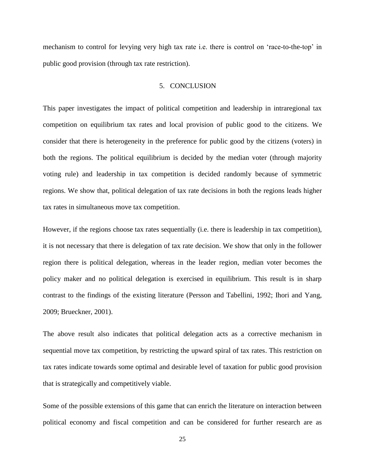mechanism to control for levying very high tax rate i.e. there is control on "race-to-the-top" in public good provision (through tax rate restriction).

# 5. CONCLUSION

This paper investigates the impact of political competition and leadership in intraregional tax competition on equilibrium tax rates and local provision of public good to the citizens. We consider that there is heterogeneity in the preference for public good by the citizens (voters) in both the regions. The political equilibrium is decided by the median voter (through majority voting rule) and leadership in tax competition is decided randomly because of symmetric regions. We show that, political delegation of tax rate decisions in both the regions leads higher tax rates in simultaneous move tax competition.

However, if the regions choose tax rates sequentially (i.e. there is leadership in tax competition), it is not necessary that there is delegation of tax rate decision. We show that only in the follower region there is political delegation, whereas in the leader region, median voter becomes the policy maker and no political delegation is exercised in equilibrium. This result is in sharp contrast to the findings of the existing literature (Persson and Tabellini, 1992; Ihori and Yang, 2009; Brueckner, 2001).

The above result also indicates that political delegation acts as a corrective mechanism in sequential move tax competition, by restricting the upward spiral of tax rates. This restriction on tax rates indicate towards some optimal and desirable level of taxation for public good provision that is strategically and competitively viable.

Some of the possible extensions of this game that can enrich the literature on interaction between political economy and fiscal competition and can be considered for further research are as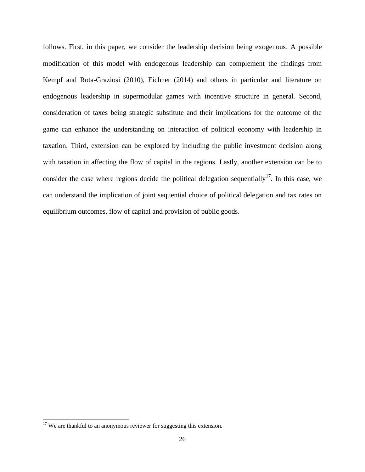follows. First, in this paper, we consider the leadership decision being exogenous. A possible modification of this model with endogenous leadership can complement the findings from Kempf and Rota-Graziosi (2010), Eichner (2014) and others in particular and literature on endogenous leadership in supermodular games with incentive structure in general. Second, consideration of taxes being strategic substitute and their implications for the outcome of the game can enhance the understanding on interaction of political economy with leadership in taxation. Third, extension can be explored by including the public investment decision along with taxation in affecting the flow of capital in the regions. Lastly, another extension can be to consider the case where regions decide the political delegation sequentially<sup>17</sup>. In this case, we can understand the implication of joint sequential choice of political delegation and tax rates on equilibrium outcomes, flow of capital and provision of public goods.

 $\overline{\phantom{a}}$ 

 $17$  We are thankful to an anonymous reviewer for suggesting this extension.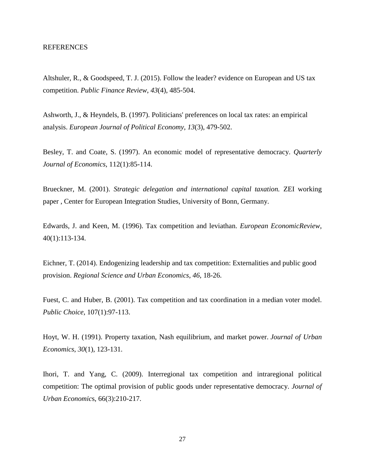# **REFERENCES**

Altshuler, R., & Goodspeed, T. J. (2015). Follow the leader? evidence on European and US tax competition. *Public Finance Review*, *43*(4), 485-504.

Ashworth, J., & Heyndels, B. (1997). Politicians' preferences on local tax rates: an empirical analysis. *European Journal of Political Economy*, *13*(3), 479-502.

Besley, T. and Coate, S. (1997). An economic model of representative democracy. *Quarterly Journal of Economics*, 112(1):85-114.

Brueckner, M. (2001). *Strategic delegation and international capital taxation.* ZEI working paper , Center for European Integration Studies, University of Bonn, Germany.

Edwards, J. and Keen, M. (1996). Tax competition and leviathan. *European EconomicReview*, 40(1):113-134.

Eichner, T. (2014). Endogenizing leadership and tax competition: Externalities and public good provision. *Regional Science and Urban Economics*, *46*, 18-26.

Fuest, C. and Huber, B. (2001). Tax competition and tax coordination in a median voter model. *Public Choice*, 107(1):97-113.

Hoyt, W. H. (1991). Property taxation, Nash equilibrium, and market power. *Journal of Urban Economics*, *30*(1), 123-131.

Ihori, T. and Yang, C. (2009). Interregional tax competition and intraregional political competition: The optimal provision of public goods under representative democracy. *Journal of Urban Economic*s, 66(3):210-217.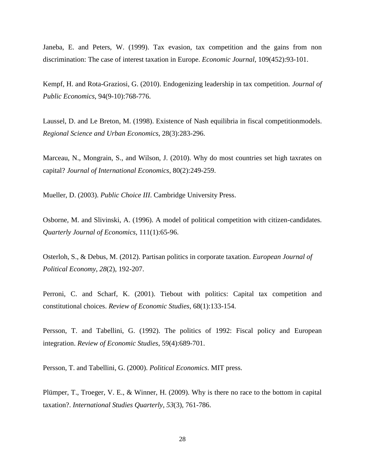Janeba, E. and Peters, W. (1999). Tax evasion, tax competition and the gains from non discrimination: The case of interest taxation in Europe. *Economic Journal*, 109(452):93-101.

Kempf, H. and Rota-Graziosi, G. (2010). Endogenizing leadership in tax competition. *Journal of Public Economics*, 94(9-10):768-776.

Laussel, D. and Le Breton, M. (1998). Existence of Nash equilibria in fiscal competitionmodels. *Regional Science and Urban Economics*, 28(3):283-296.

Marceau, N., Mongrain, S., and Wilson, J. (2010). Why do most countries set high taxrates on capital? *Journal of International Economics*, 80(2):249-259.

Mueller, D. (2003). *Public Choice III*. Cambridge University Press.

Osborne, M. and Slivinski, A. (1996). A model of political competition with citizen-candidates. *Quarterly Journal of Economics,* 111(1):65-96.

Osterloh, S., & Debus, M. (2012). Partisan politics in corporate taxation. *European Journal of Political Economy*, *28*(2), 192-207.

Perroni, C. and Scharf, K. (2001). Tiebout with politics: Capital tax competition and constitutional choices. *Review of Economic Studies*, 68(1):133-154.

Persson, T. and Tabellini, G. (1992). The politics of 1992: Fiscal policy and European integration. *Review of Economic Studies*, 59(4):689-701.

Persson, T. and Tabellini, G. (2000). *Political Economics*. MIT press.

Plümper, T., Troeger, V. E., & Winner, H. (2009). Why is there no race to the bottom in capital taxation?. *International Studies Quarterly*, *53*(3), 761-786.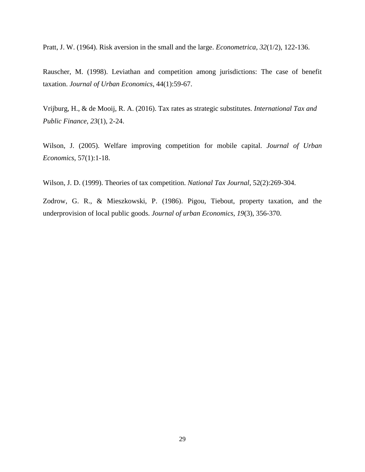Pratt, J. W. (1964). Risk aversion in the small and the large. *Econometrica*, *32*(1/2), 122-136.

Rauscher, M. (1998). Leviathan and competition among jurisdictions: The case of benefit taxation. *Journal of Urban Economics*, 44(1):59-67.

Vrijburg, H., & de Mooij, R. A. (2016). Tax rates as strategic substitutes. *International Tax and Public Finance*, *23*(1), 2-24.

Wilson, J. (2005). Welfare improving competition for mobile capital. *Journal of Urban Economics*, 57(1):1-18.

Wilson, J. D. (1999). Theories of tax competition. *National Tax Journal*, 52(2):269-304.

Zodrow, G. R., & Mieszkowski, P. (1986). Pigou, Tiebout, property taxation, and the underprovision of local public goods. *Journal of urban Economics*, *19*(3), 356-370.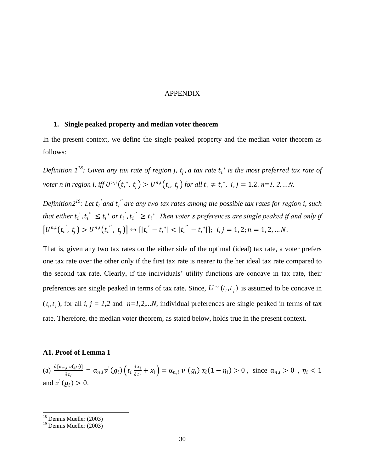# APPENDIX

#### **1. Single peaked property and median voter theorem**

In the present context, we define the single peaked property and the median voter theorem as follows:

Definition  $1^{18}$ : Given any tax rate of region j,  $t_j$ , a tax rate  $t_i^*$  is the most preferred tax rate of *voter n in region i, iff*  $U^{n,i}(t_i^*, t_j) > U^{n,i}(t_i, t_j)$  for all  $t_i \neq t_i^*$ ,  $i, j = 1,2$ .  $n=1, 2,...N$ .

*Definition2<sup>19</sup>: Let t<sub>i</sub>' and t<sub>i</sub>" are any two tax rates among the possible tax rates for region i, such* that either  $t_i^{'}$ ,  $t_i^{''} \leq t_i^*$  or  $t_i^{'}$ ,  $t_i^{''} \geq t_i^*$ . Then voter's preferences are single peaked if and only if  $[U^{n,i}(t_i^{'}, t_j) > U^{n,i}(t_i^{''}, t_j)] \leftrightarrow [|t_i^{'} - t_i^{*}| < |t_i^{''} - t_i^{*}|]; i, j = 1, 2; n = 1, 2, ... N.$ 

That is, given any two tax rates on the either side of the optimal (ideal) tax rate, a voter prefers one tax rate over the other only if the first tax rate is nearer to the her ideal tax rate compared to the second tax rate. Clearly, if the individuals" utility functions are concave in tax rate, their preferences are single peaked in terms of tax rate. Since,  $U^{i,i}(t_i, t_j)$  is assumed to be concave in  $(t_i, t_j)$ , for all *i*,  $j = 1,2$  and  $n=1,2,...N$ , individual preferences are single peaked in terms of tax rate. Therefore, the median voter theorem, as stated below, holds true in the present context.

#### **A1. Proof of Lemma 1**

(a)  $\frac{\partial [\alpha_{n,i} v(g_i)]}{\partial x_i}$  $\frac{\partial_i v(g_i)}{\partial t_i} = \alpha_{n,i} v'(g_i) \Big( t_i \frac{\partial x_i}{\partial t_i} \Big)$  $\frac{\partial x_i}{\partial t_i} + x_i$  =  $\alpha_{n,i} v'(g_i) x_i (1 - \eta_i) > 0$ , since  $\alpha_{n,i} > 0$ ,  $\eta_i < 1$ and  $v'(g_i) > 0$ .

 $18$  Dennis Mueller (2003)

 $19$  Dennis Mueller (2003)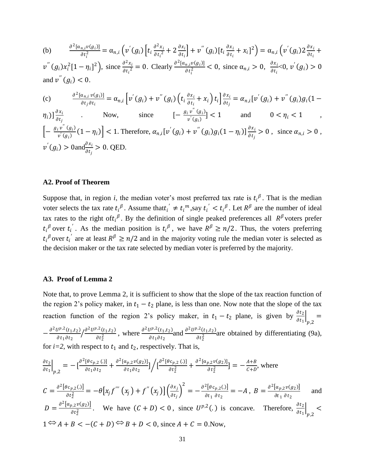(b) 
$$
\frac{\partial^2 [\alpha_{n,i}v(g_i)]}{\partial t_i^2} = \alpha_{n,i} \left( v'(g_i) \left[ t_i \frac{\partial^2 x_i}{\partial t_i^2} + 2 \frac{\partial x_i}{\partial t_i} \right] + v''(g_i) \left[ t_i \frac{\partial x_i}{\partial t_i} + x_i \right]^2 \right) = \alpha_{n,i} \left( v'(g_i) 2 \frac{\partial x_i}{\partial t_i} + v''(g_i) x_i^2 \left[ 1 - \eta_i \right]^2 \right), \text{ since } \frac{\partial^2 x_i}{\partial t_i^2} = 0. \text{ Clearly } \frac{\partial^2 [\alpha_{n,i}v(g_i)]}{\partial t_i^2} < 0, \text{ since } \alpha_{n,i} > 0, \frac{\partial x_i}{\partial t_i} < 0, v'(g_i) > 0
$$
 and 
$$
v''(g_i) < 0.
$$

(c) 
$$
\frac{\partial^2 [\alpha_{n,i} v(g_i)]}{\partial t_j \partial t_i} = \alpha_{n,i} \left[ v'(g_i) + v''(g_i) \left( t_i \frac{\partial x_i}{\partial t_i} + x_i \right) t_i \right] \frac{\partial x_i}{\partial t_j} = \alpha_{n,i} [v'(g_i) + v''(g_i) g_i (1 - \eta_i)] \frac{\partial x_i}{\partial t_j} \dots \text{ Now, since } \left[ -\frac{g_i v''(g_i)}{v'(g_i)} \right] < 1 \quad \text{and} \quad 0 < \eta_i < 1 \quad ,
$$
\n
$$
\left[ -\frac{g_i v''(g_i)}{v'(g_i)} (1 - \eta_i) \right] < 1. \text{ Therefore, } \alpha_{n,i} [v'(g_i) + v''(g_i) g_i (1 - \eta_i)] \frac{\partial x_i}{\partial t_j} > 0, \text{ since } \alpha_{n,i} > 0 \, ,
$$
\n
$$
v'(g_i) > 0 \text{ and } \frac{\partial x_i}{\partial t_i} > 0. \text{ QED.}
$$

#### **A2. Proof of Theorem**

Suppose that, in region *i*, the median voter's most preferred tax rate is  $t_i^{\beta}$ . That is the median voter selects the tax rate  $t_i^{\beta}$ . Assume that  $t_i' \neq t_i^m$ , say  $t_i' < t_i^{\beta}$ . Let  $R^{\beta}$  are the number of ideal tax rates to the right of  $t_i^{\beta}$ . By the definition of single peaked preferences all  $R^{\beta}$  voters prefer  $t_i^{\beta}$  over  $t_i^{\prime}$ . As the median position is  $t_i^{\beta}$ , we have  $R^{\beta} \ge n/2$ . Thus, the voters preferring  $t_i^{\beta}$  over  $t_i^{\prime}$  are at least  $R^{\beta} \ge n/2$  and in the majority voting rule the median voter is selected as the decision maker or the tax rate selected by median voter is preferred by the majority.

#### **A3. Proof of Lemma 2**

Note that, to prove Lemma 2, it is sufficient to show that the slope of the tax reaction function of the region 2's policy maker, in  $t_1 - t_2$  plane, is less than one. Now note that the slope of the tax reaction function of the region 2's policy maker, in  $t_1 - t_2$  plane, is given by  $\frac{\partial t_2}{\partial t_1}$ ,2 =  $-\frac{\partial^2 U^{p,2}(t_1,t_2)}{dt^2}$  $\partial t_1 \partial t_2$  $\partial^2 U^{p,2}(t_1,t_2)$  $\int \frac{\partial^2 U^{p,2}(t_1,t_2)}{\partial t_2^2}$ , where  $\frac{\partial^2 U^{p,2}(t_1,t_2)}{\partial t_1 \partial t_2}$  $\frac{\partial^{p,2}(t_1,t_2)}{\partial t_1 \partial t_2}$  and  $\frac{\partial^2 U^{p,2}(t_1,t_2)}{\partial t_2^2}$  $\frac{1}{\partial t_2^2}$  are obtained by differentiating (9a), for  $i=2$ , with respect to  $t_1$  and  $t_2$ , respectively. That is,

$$
\frac{\partial t_2}{\partial t_1}\Big|_{p,2} = -\left[\frac{\partial^2[\theta c_{p,2}(.)]}{\partial t_1 \partial t_2} + \frac{\partial^2[\alpha_{p,2}\nu(g_2)]}{\partial t_1 \partial t_2}\right] \Big/ \left[\frac{\partial^2[\theta c_{p,2}(.)]}{\partial t_2^2} + \frac{\partial^2[\alpha_{p,2}\nu(g_2)]}{\partial t_2^2}\right] = -\frac{A+B}{C+D}, \text{ where}
$$

$$
C = \frac{\partial^2 [\theta c_{p,2}(.)]}{\partial t_2^2} = -\theta \Big[ x_j f^{'''}(x_j) + f^{''}(x_j) \Big] \Big( \frac{\partial x_j}{\partial t_j} \Big)^2 = -\frac{\partial^2 [\theta c_{p,2}(.)]}{\partial t_1 \partial t_2} = -A, \ B = \frac{\partial^2 [\alpha_{p,2} v(g_2)]}{\partial t_1 \partial t_2} \quad \text{and}
$$
  
\n
$$
D = \frac{\partial^2 [\alpha_{p,2} v(g_2)]}{\partial t_2^2}.
$$
 We have  $(C + D) < 0$ , since  $U^{p,2}(.)$  is concave. Therefore,  $\frac{\partial t_2}{\partial t_1} \Big|_{p,2} < 1 \Leftrightarrow A + B < -(C + D) \Leftrightarrow B + D < 0$ , since  $A + C = 0$ .Now,